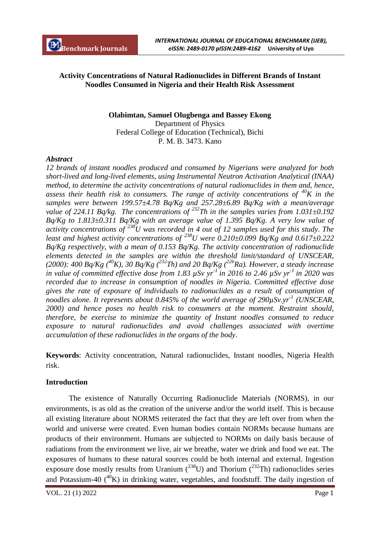## **Activity Concentrations of Natural Radionuclides in Different Brands of Instant Noodles Consumed in Nigeria and their Health Risk Assessment**

# **Olabimtan, Samuel Olugbenga and Bassey Ekong**

Department of Physics Federal College of Education (Technical), Bichi P. M. B. 3473. Kano

#### *Abstract*

*12 brands of instant noodles produced and consumed by Nigerians were analyzed for both short-lived and long-lived elements, using Instrumental Neutron Activation Analytical (INAA) method, to determine the activity concentrations of natural radionuclides in them and, hence, assess their health risk to consumers. The range of activity concentrations of*  $^{40}K$  in the *samples were between 199.57±4.78 Bq/Kg and 257.28±6.89 Bq/Kg with a mean/average value of 224.11 Bq/kg. The concentrations of <sup>232</sup>Th in the samples varies from 1.031±0.192 Bq/Kg to 1.813±0.311 Bq/Kg with an average value of 1.395 Bq/Kg. A very low value of activity concentrations of <sup>238</sup>U was recorded in 4 out of 12 samples used for this study. The least and highest activity concentrations of <sup>238</sup>U were 0.210±0.099 Bq/Kg and 0.617±0.222 Bq/Kg respectively, with a mean of 0.153 Bq/Kg. The activity concentration of radionuclide elements detected in the samples are within the threshold limit/standard of UNSCEAR, (2000): 400 Bq/Kg (<sup>40</sup>K), 30 Bq/Kg (<sup>232</sup>Th) and 20 Bq/Kg (<sup>226</sup>Ra). However, a steady increase in value of committed effective dose from 1.83 µSv yr-1 in 2016 to 2.46 µSv yr-1 in 2020 was recorded due to increase in consumption of noodles in Nigeria. Committed effective dose gives the rate of exposure of individuals to radionuclides as a result of consumption of noodles alone. It represents about 0.845% of the world average of 290µSv.yr-1 (UNSCEAR, 2000) and hence poses no health risk to consumers at the moment. Restraint should, therefore, be exercise to minimize the quantity of Instant noodles consumed to reduce exposure to natural radionuclides and avoid challenges associated with overtime accumulation of these radionuclides in the organs of the body*.

**Keywords**: Activity concentration, Natural radionuclides, Instant noodles, Nigeria Health risk.

#### **Introduction**

The existence of Naturally Occurring Radionuclide Materials (NORMS), in our environments, is as old as the creation of the universe and/or the world itself. This is because all existing literature about NORMS reiterated the fact that they are left over from when the world and universe were created. Even human bodies contain NORMs because humans are products of their environment. Humans are subjected to NORMs on daily basis because of radiations from the environment we live, air we breathe, water we drink and food we eat. The exposures of humans to these natural sources could be both internal and external. Ingestion exposure dose mostly results from Uranium  $(^{238}U)$  and Thorium  $(^{232}Th)$  radionuclides series and Potassium-40  $(^{40}K)$  in drinking water, vegetables, and foodstuff. The daily ingestion of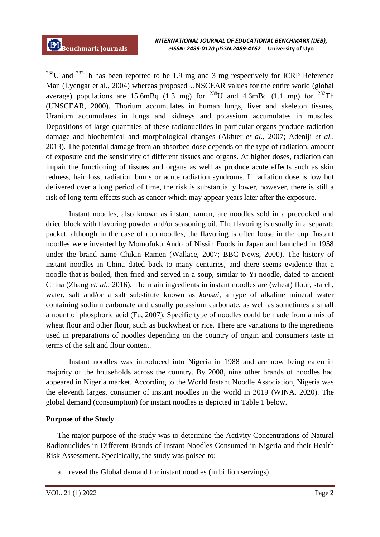$^{238}$ U and  $^{232}$ Th has been reported to be 1.9 mg and 3 mg respectively for ICRP Reference Man (Lyengar et al., 2004) whereas proposed UNSCEAR values for the entire world (global average) populations are 15.6mBq (1.3 mg) for <sup>238</sup>U and 4.6mBq (1.1 mg) for <sup>232</sup>Th (UNSCEAR, 2000). Thorium accumulates in human lungs, liver and skeleton tissues, Uranium accumulates in lungs and kidneys and potassium accumulates in muscles. Depositions of large quantities of these radionuclides in particular organs produce radiation damage and biochemical and morphological changes (Akhter *et al.*, 2007; Adeniji *et al.,*  2013). The potential damage from an absorbed dose depends on the type of radiation, amount of exposure and the sensitivity of different tissues and organs. At higher doses, radiation can impair the functioning of tissues and organs as well as produce acute effects such as skin redness, hair loss, radiation burns or acute radiation syndrome. If radiation dose is low but delivered over a long period of time, the risk is substantially lower, however, there is still a risk of long-term effects such as cancer which may appear years later after the exposure.

Instant noodles, also known as instant ramen, are noodles sold in a precooked and dried block with flavoring powder and/or seasoning oil. The flavoring is usually in a separate packet, although in the case of cup noodles, the flavoring is often loose in the cup. Instant noodles were invented by Momofuku Ando of Nissin Foods in Japan and launched in 1958 under the brand name Chikin Ramen (Wallace, 2007; BBC News, 2000). The history of instant noodles in China dated back to many centuries, and there seems evidence that a noodle that is boiled, then fried and served in a soup, similar to Yi noodle, dated to ancient China (Zhang *et. al.,* 2016). The main ingredients in instant noodles are (wheat) flour, starch, water, salt and/or a salt substitute known as *kansui*, a type of alkaline mineral water containing sodium carbonate and usually potassium carbonate, as well as sometimes a small amount of phosphoric acid (Fu, 2007). Specific type of noodles could be made from a mix of wheat flour and other flour, such as buckwheat or rice. There are variations to the ingredients used in preparations of noodles depending on the country of origin and consumers taste in terms of the salt and flour content.

Instant noodles was introduced into Nigeria in 1988 and are now being eaten in majority of the households across the country. By 2008, nine other brands of noodles had appeared in Nigeria market. According to the World Instant Noodle Association, Nigeria was the eleventh largest consumer of instant noodles in the world in 2019 (WINA, 2020). The global demand (consumption) for instant noodles is depicted in Table 1 below.

### **Purpose of the Study**

The major purpose of the study was to determine the Activity Concentrations of Natural Radionuclides in Different Brands of Instant Noodles Consumed in Nigeria and their Health Risk Assessment. Specifically, the study was poised to:

a. reveal the Global demand for instant noodles (in billion servings)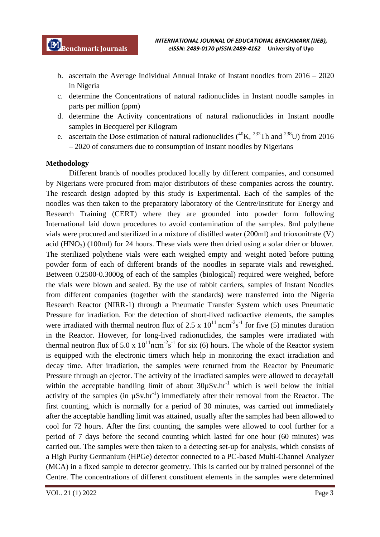- b. ascertain the Average Individual Annual Intake of Instant noodles from 2016 2020 in Nigeria
- c. determine the Concentrations of natural radionuclides in Instant noodle samples in parts per million (ppm)
- d. determine the Activity concentrations of natural radionuclides in Instant noodle samples in Becquerel per Kilogram
- e. ascertain the Dose estimation of natural radionuclides  $(^{40}\text{K}, ^{232}\text{Th}$  and  $^{238}\text{U}$ ) from 2016 – 2020 of consumers due to consumption of Instant noodles by Nigerians

#### **Methodology**

Different brands of noodles produced locally by different companies, and consumed by Nigerians were procured from major distributors of these companies across the country. The research design adopted by this study is Experimental. Each of the samples of the noodles was then taken to the preparatory laboratory of the Centre/Institute for Energy and Research Training (CERT) where they are grounded into powder form following International laid down procedures to avoid contamination of the samples. 8ml polythene vials were procured and sterilized in a mixture of distilled water (200ml) and trioxonitrate (V) acid (HNO<sub>3</sub>) (100ml) for 24 hours. These vials were then dried using a solar drier or blower. The sterilized polythene vials were each weighed empty and weight noted before putting powder form of each of different brands of the noodles in separate vials and reweighed. Between 0.2500-0.3000g of each of the samples (biological) required were weighed, before the vials were blown and sealed. By the use of rabbit carriers, samples of Instant Noodles from different companies (together with the standards) were transferred into the Nigeria Research Reactor (NIRR-1) through a Pneumatic Transfer System which uses Pneumatic Pressure for irradiation. For the detection of short-lived radioactive elements, the samples were irradiated with thermal neutron flux of 2.5 x  $10^{11}$  ncm<sup>-2</sup>s<sup>-1</sup> for five (5) minutes duration in the Reactor. However, for long-lived radionuclides, the samples were irradiated with thermal neutron flux of 5.0 x  $10^{11}$ ncm<sup>-2</sup>s<sup>-1</sup> for six (6) hours. The whole of the Reactor system is equipped with the electronic timers which help in monitoring the exact irradiation and decay time. After irradiation, the samples were returned from the Reactor by Pneumatic Pressure through an ejector. The activity of the irradiated samples were allowed to decay/fall within the acceptable handling limit of about  $30\mu Sv/hr^{-1}$  which is well below the initial activity of the samples (in  $\mu Sv \cdot hr^{-1}$ ) immediately after their removal from the Reactor. The first counting, which is normally for a period of 30 minutes, was carried out immediately after the acceptable handling limit was attained, usually after the samples had been allowed to cool for 72 hours. After the first counting, the samples were allowed to cool further for a period of 7 days before the second counting which lasted for one hour (60 minutes) was carried out. The samples were then taken to a detecting set-up for analysis, which consists of a High Purity Germanium (HPGe) detector connected to a PC-based Multi-Channel Analyzer (MCA) in a fixed sample to detector geometry. This is carried out by trained personnel of the Centre. The concentrations of different constituent elements in the samples were determined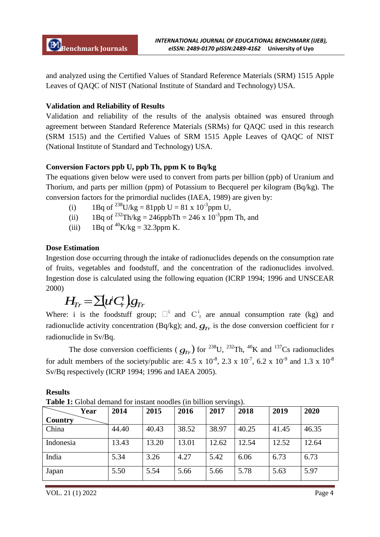and analyzed using the Certified Values of Standard Reference Materials (SRM) 1515 Apple Leaves of QAQC of NIST (National Institute of Standard and Technology) USA.

# **Validation and Reliability of Results**

Validation and reliability of the results of the analysis obtained was ensured through agreement between Standard Reference Materials (SRMs) for QAQC used in this research (SRM 1515) and the Certified Values of SRM 1515 Apple Leaves of QAQC of NIST (National Institute of Standard and Technology) USA.

# **Conversion Factors ppb U, ppb Th, ppm K to Bq/kg**

The equations given below were used to convert from parts per billion (ppb) of Uranium and Thorium, and parts per million (ppm) of Potassium to Becquerel per kilogram (Bq/kg). The conversion factors for the primordial nuclides (IAEA, 1989) are given by:

- (i) 1Bq of <sup>238</sup>U/kg = 81ppb U = 81 x 10<sup>-3</sup>ppm U,
- (ii) 1Bq of  $^{232}$ Th/kg = 246ppbTh = 246 x 10<sup>-3</sup>ppm Th, and
- (iii) 1Bq of  ${}^{40}$ K/kg = 32.3ppm K.

# **Dose Estimation**

Ingestion dose occurring through the intake of radionuclides depends on the consumption rate of fruits, vegetables and foodstuff, and the concentration of the radionuclides involved. Ingestion dose is calculated using the following equation (ICRP 1994; 1996 and UNSCEAR 2000)

$$
H_{\!\scriptscriptstyle T\!r} \!=\! \Sigma \! (\!\!\; u^{\!\prime} C\! \!\!\; c^{\!\prime}_{\!\scriptscriptstyle T}) g_{\!\scriptscriptstyle T\!r}
$$

Where: i is the foodstuff group;  $\Box^i$  and  $C_r^i$  are annual consumption rate (kg) and radionuclide activity concentration (Bq/kg); and,  $g_{Tr}$  is the dose conversion coefficient for r radionuclide in Sv/Bq.

The dose conversion coefficients ( $g_{Tr}$ ) for <sup>238</sup>U, <sup>232</sup>Th, <sup>40</sup>K and <sup>137</sup>Cs radionuclides for adult members of the society/public are: 4.5 x  $10^{-8}$ , 2.3 x  $10^{-7}$ , 6.2 x  $10^{-9}$  and 1.3 x  $10^{-8}$ Sv/Bq respectively (ICRP 1994; 1996 and IAEA 2005).

**Results**

**Table 1:** Global demand for instant noodles (in billion servings).

| Year           | 2014  | 2015  | 2016  | $\mathcal{L}$ change $\mathcal{L}$ . $\mathcal{L}$ $\mathcal{L}$<br>2017 | 2018  | 2019  | 2020  |
|----------------|-------|-------|-------|--------------------------------------------------------------------------|-------|-------|-------|
| <b>Country</b> |       |       |       |                                                                          |       |       |       |
| China          | 44.40 | 40.43 | 38.52 | 38.97                                                                    | 40.25 | 41.45 | 46.35 |
| Indonesia      | 13.43 | 13.20 | 13.01 | 12.62                                                                    | 12.54 | 12.52 | 12.64 |
| India          | 5.34  | 3.26  | 4.27  | 5.42                                                                     | 6.06  | 6.73  | 6.73  |
| Japan          | 5.50  | 5.54  | 5.66  | 5.66                                                                     | 5.78  | 5.63  | 5.97  |

VOL. 21 (1) 2022 Page 4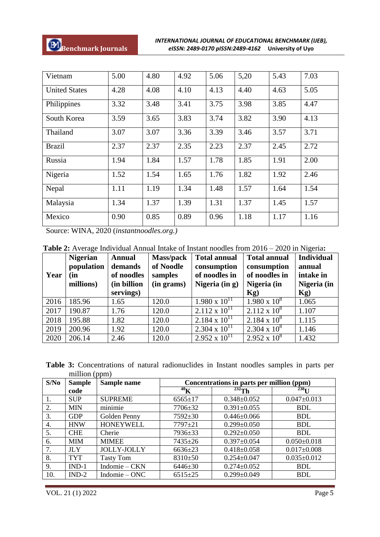| Vietnam              | 5.00 | 4.80 | 4.92 | 5.06 | 5,20 | 5.43 | 7.03 |
|----------------------|------|------|------|------|------|------|------|
| <b>United States</b> | 4.28 | 4.08 | 4.10 | 4.13 | 4.40 | 4.63 | 5.05 |
| Philippines          | 3.32 | 3.48 | 3.41 | 3.75 | 3.98 | 3.85 | 4.47 |
| South Korea          | 3.59 | 3.65 | 3.83 | 3.74 | 3.82 | 3.90 | 4.13 |
| Thailand             | 3.07 | 3.07 | 3.36 | 3.39 | 3.46 | 3.57 | 3.71 |
| <b>Brazil</b>        | 2.37 | 2.37 | 2.35 | 2.23 | 2.37 | 2.45 | 2.72 |
| Russia               | 1.94 | 1.84 | 1.57 | 1.78 | 1.85 | 1.91 | 2.00 |
| Nigeria              | 1.52 | 1.54 | 1.65 | 1.76 | 1.82 | 1.92 | 2.46 |
| Nepal                | 1.11 | 1.19 | 1.34 | 1.48 | 1.57 | 1.64 | 1.54 |
| Malaysia             | 1.34 | 1.37 | 1.39 | 1.31 | 1.37 | 1.45 | 1.57 |
| Mexico               | 0.90 | 0.85 | 0.89 | 0.96 | 1.18 | 1.17 | 1.16 |

Source: WINA, 2020 (*instantnoodles.org.)*

**Table 2:** Average Individual Annual Intake of Instant noodles from 2016 – 2020 in Nigeria**:**

| Year | <b>Nigerian</b><br>population<br>(in<br>millions) | <b>Annual</b><br>demands<br>of noodles<br>(in billion<br>servings) | <b>Mass/pack</b><br>of Noodle<br>samples<br>(in grams) | <b>Total annual</b><br>consumption<br>of noodles in<br>Nigeria $(in g)$ | <b>Total annual</b><br>consumption<br>of noodles in<br>Nigeria (in<br>$Kg$ ) | <b>Individual</b><br>annual<br>intake in<br>Nigeria (in<br>Kg) |
|------|---------------------------------------------------|--------------------------------------------------------------------|--------------------------------------------------------|-------------------------------------------------------------------------|------------------------------------------------------------------------------|----------------------------------------------------------------|
| 2016 | 185.96                                            | 1.65                                                               | 120.0                                                  | $1.980 \times 10^{11}$                                                  | $1.980 \times 10^8$                                                          | 1.065                                                          |
| 2017 | 190.87                                            | 1.76                                                               | 120.0                                                  | $2.112 \times 10^{11}$                                                  | $2.112 \times 10^8$                                                          | 1.107                                                          |
| 2018 | 195.88                                            | 1.82                                                               | 120.0                                                  | $2.184 \times 10^{11}$                                                  | $2.184 \times 10^8$                                                          | 1.115                                                          |
| 2019 | 200.96                                            | 1.92                                                               | 120.0                                                  | $2.304 \times 10^{11}$                                                  | $2.304 \times 10^8$                                                          | 1.146                                                          |
| 2020 | 206.14                                            | 2.46                                                               | 120.0                                                  | $2.952 \times 10^{11}$                                                  | $2.952 \times 10^8$                                                          | 1.432                                                          |

| <b>Table 3:</b> Concentrations of natural radionuclides in Instant noodles samples in parts per |  |  |  |  |  |
|-------------------------------------------------------------------------------------------------|--|--|--|--|--|
| million (ppm)                                                                                   |  |  |  |  |  |

| S/No | <b>Sample</b> | Sample name        | Concentrations in parts per million (ppm) |                   |                   |  |  |
|------|---------------|--------------------|-------------------------------------------|-------------------|-------------------|--|--|
|      | code          |                    | $^{40}$ K                                 | $^{232}$ Th       | 238 <sub>T1</sub> |  |  |
| 1.   | <b>SUP</b>    | <b>SUPREME</b>     | $6565 \pm 17$                             | $0.348 \pm 0.052$ | $0.047 \pm 0.013$ |  |  |
| 2.   | <b>MIN</b>    | minimie            | $7706 \pm 32$                             | $0.391 \pm 0.055$ | <b>BDL</b>        |  |  |
| 3.   | <b>GDP</b>    | Golden Penny       | $7592 \pm 30$                             | $0.446 \pm 0.066$ | <b>BDL</b>        |  |  |
| 4.   | <b>HNW</b>    | <b>HONEYWELL</b>   | $7797 + 21$                               | $0.299 \pm 0.050$ | <b>BDL</b>        |  |  |
| 5.   | <b>CHE</b>    | Cherie             | 7936±33                                   | $0.292 \pm 0.050$ | <b>BDL</b>        |  |  |
| 6.   | <b>MIM</b>    | <b>MIMEE</b>       | $7435 \pm 26$                             | $0.397 \pm 0.054$ | $0.050 \pm 0.018$ |  |  |
| 7.   | <b>JLY</b>    | <b>JOLLY-JOLLY</b> | $6636 \pm 23$                             | $0.418 \pm 0.058$ | $0.017 \pm 0.008$ |  |  |
| 8.   | <b>TYT</b>    | <b>Tasty Tom</b>   | $8310+50$                                 | $0.254 \pm 0.047$ | $0.035 \pm 0.012$ |  |  |
| 9.   | $IND-1$       | Indomie – CKN      | $6446 \pm 30$                             | $0.274 \pm 0.052$ | <b>BDL</b>        |  |  |
| 10.  | $IND-2$       | Indomie – $ONC$    | $6515 \pm 25$                             | $0.299 \pm 0.049$ | <b>BDL</b>        |  |  |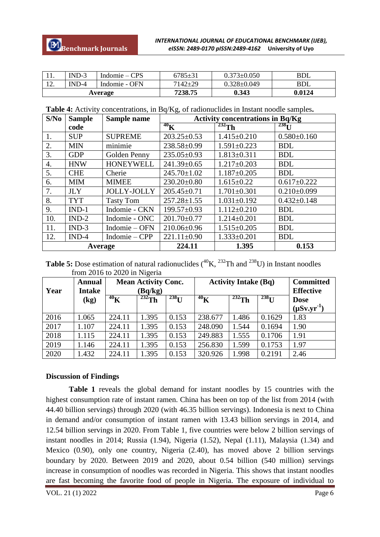| .       | $IND-3$ | Indomie $-CPS$ | 6785±31       | $0.373 {\pm} 0.050$ | <b>BDL</b> |
|---------|---------|----------------|---------------|---------------------|------------|
| ⊥∠.     | $IND-4$ | Indomie - OFN  | $7142 \pm 29$ | 0.328±0.049         | <b>BDL</b> |
| Average |         |                | 7238.75       | 0.343               | 0.0124     |

| Table 4: Activity concentrations, in Bq/Kg, of radionuclides in Instant noodle samples. |  |  |
|-----------------------------------------------------------------------------------------|--|--|
|-----------------------------------------------------------------------------------------|--|--|

| S/No             | <b>Sample</b> | Sample name        | <b>Activity concentrations in Bq/Kg</b> |                   |                   |  |  |
|------------------|---------------|--------------------|-----------------------------------------|-------------------|-------------------|--|--|
|                  | code          |                    | $^{40}$ K                               | $232$ Th          | $238$ U           |  |  |
| 1.               | <b>SUP</b>    | <b>SUPREME</b>     | $203.25 \pm 0.53$                       | $1.415 \pm 0.210$ | $0.580 \pm 0.160$ |  |  |
| 2.               | <b>MIN</b>    | minimie            | 238.58±0.99                             | $1.591 \pm 0.223$ | <b>BDL</b>        |  |  |
| 3.               | <b>GDP</b>    | Golden Penny       | $235.05 \pm 0.93$                       | $1.813 \pm 0.311$ | <b>BDL</b>        |  |  |
| $\overline{4}$ . | <b>HNW</b>    | <b>HONEYWELL</b>   | 241.39±0.65                             | $1.217 \pm 0.203$ | <b>BDL</b>        |  |  |
| 5.               | <b>CHE</b>    | Cherie             | $245.70 \pm 1.02$                       | $1.187 \pm 0.205$ | <b>BDL</b>        |  |  |
| 6.               | <b>MIM</b>    | <b>MIMEE</b>       | $230.20 \pm 0.80$                       | $1.615 \pm 0.22$  | $0.617 \pm 0.222$ |  |  |
| 7.               | <b>JLY</b>    | <b>JOLLY-JOLLY</b> | $205.45 \pm 0.71$                       | $1.701 \pm 0.301$ | $0.210\pm0.099$   |  |  |
| 8.               | <b>TYT</b>    | <b>Tasty Tom</b>   | $257.28 \pm 1.55$                       | $1.031 \pm 0.192$ | $0.432 \pm 0.148$ |  |  |
| 9.               | $IND-1$       | Indomie - CKN      | $199.57 \pm 0.93$                       | $1.112 \pm 0.210$ | <b>BDL</b>        |  |  |
| 10.              | $IND-2$       | Indomie - ONC      | $201.70 \pm 0.77$                       | $1.214 \pm 0.201$ | <b>BDL</b>        |  |  |
| 11.              | $IND-3$       | Indomie – OFN      | 210.06±0.96                             | $1.515 \pm 0.205$ | <b>BDL</b>        |  |  |
| 12.              | $IND-4$       | Indomie – CPP      | $221.11 \pm 0.90$                       | $1.333 \pm 0.201$ | <b>BDL</b>        |  |  |
|                  | Average       |                    | 224.11                                  | 1.395             | 0.153             |  |  |

**Table 5:** Dose estimation of natural radionuclides  $({}^{40}\text{K}, {}^{232}\text{Th}$  and  $({}^{238}\text{U})$  in Instant noodles from 2016 to 2020 in Nigeria

| Year | <b>Annual</b><br><b>Intake</b> | <b>Mean Activity Conc.</b><br><b>Activity Intake (Bq)</b><br>(Bq/kg) |             |            |           |             |            |                    | <b>Committed</b><br><b>Effective</b> |
|------|--------------------------------|----------------------------------------------------------------------|-------------|------------|-----------|-------------|------------|--------------------|--------------------------------------|
|      | $\left( \mathbf{kg}\right)$    | $^{40}$ K                                                            | $^{232}$ Th | $^{238}$ U | $^{40}$ K | $^{232}$ Th | $^{238}$ U | <b>Dose</b>        |                                      |
|      |                                |                                                                      |             |            |           |             |            | $(\mu Sv.yr^{-1})$ |                                      |
| 2016 | 1.065                          | 224.11                                                               | 1.395       | 0.153      | 238.677   | 1.486       | 0.1629     | 1.83               |                                      |
| 2017 | 1.107                          | 224.11                                                               | 1.395       | 0.153      | 248.090   | 1.544       | 0.1694     | 1.90               |                                      |
| 2018 | 1.115                          | 224.11                                                               | 1.395       | 0.153      | 249.883   | 1.555       | 0.1706     | 1.91               |                                      |
| 2019 | 1.146                          | 224.11                                                               | 1.395       | 0.153      | 256.830   | 1.599       | 0.1753     | 1.97               |                                      |
| 2020 | 1.432                          | 224.11                                                               | 1.395       | 0.153      | 320.926   | 1.998       | 0.2191     | 2.46               |                                      |

#### **Discussion of Findings**

**Table 1** reveals the global demand for instant noodles by 15 countries with the highest consumption rate of instant ramen. China has been on top of the list from 2014 (with 44.40 billion servings) through 2020 (with 46.35 billion servings). Indonesia is next to China in demand and/or consumption of instant ramen with 13.43 billion servings in 2014, and 12.54 billion servings in 2020. From Table 1, five countries were below 2 billion servings of instant noodles in 2014; Russia (1.94), Nigeria (1.52), Nepal (1.11), Malaysia (1.34) and Mexico (0.90), only one country, Nigeria (2.40), has moved above 2 billion servings boundary by 2020. Between 2019 and 2020, about 0.54 billion (540 million) servings increase in consumption of noodles was recorded in Nigeria. This shows that instant noodles are fast becoming the favorite food of people in Nigeria. The exposure of individual to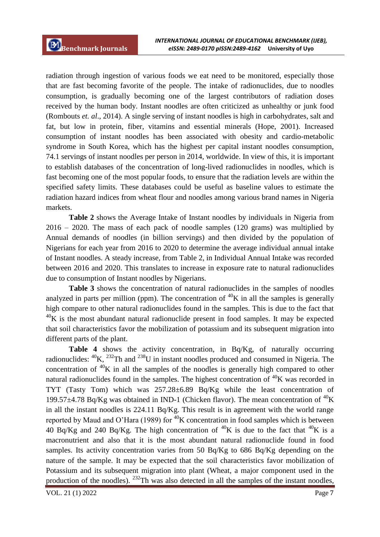radiation through ingestion of various foods we eat need to be monitored, especially those that are fast becoming favorite of the people. The intake of radionuclides, due to noodles consumption, is gradually becoming one of the largest contributors of radiation doses received by the human body. Instant noodles are often criticized as unhealthy or junk food (Rombouts *et. al*., 2014). A single serving of instant noodles is high in carbohydrates, salt and fat, but low in protein, fiber, vitamins and essential minerals (Hope, 2001). Increased consumption of instant noodles has been associated with obesity and cardio-metabolic syndrome in South Korea, which has the highest per capital instant noodles consumption, 74.1 servings of instant noodles per person in 2014, worldwide. In view of this, it is important to establish databases of the concentration of long-lived radionuclides in noodles, which is fast becoming one of the most popular foods, to ensure that the radiation levels are within the specified safety limits. These databases could be useful as baseline values to estimate the radiation hazard indices from wheat flour and noodles among various brand names in Nigeria markets.

**Table 2** shows the Average Intake of Instant noodles by individuals in Nigeria from 2016 – 2020. The mass of each pack of noodle samples (120 grams) was multiplied by Annual demands of noodles (in billion servings) and then divided by the population of Nigerians for each year from 2016 to 2020 to determine the average individual annual intake of Instant noodles. A steady increase, from Table 2, in Individual Annual Intake was recorded between 2016 and 2020. This translates to increase in exposure rate to natural radionuclides due to consumption of Instant noodles by Nigerians.

**Table 3** shows the concentration of natural radionuclides in the samples of noodles analyzed in parts per million (ppm). The concentration of  ${}^{40}K$  in all the samples is generally high compare to other natural radionuclides found in the samples. This is due to the fact that  $^{40}$ K is the most abundant natural radionuclide present in food samples. It may be expected that soil characteristics favor the mobilization of potassium and its subsequent migration into different parts of the plant.

**Table 4** shows the activity concentration, in Bq/Kg, of naturally occurring radionuclides:  ${}^{40}$ K,  ${}^{232}$ Th and  ${}^{238}$ U in instant noodles produced and consumed in Nigeria. The concentration of  ${}^{40}$ K in all the samples of the noodles is generally high compared to other natural radionuclides found in the samples. The highest concentration of  ${}^{40}$ K was recorded in TYT (Tasty Tom) which was 257.28±6.89 Bq/Kg while the least concentration of 199.57 $\pm$ 4.78 Bq/Kg was obtained in IND-1 (Chicken flavor). The mean concentration of <sup>40</sup>K in all the instant noodles is 224.11 Bq/Kg. This result is in agreement with the world range reported by Maud and O'Hara (1989) for  $40K$  concentration in food samples which is between 40 Bq/Kg and 240 Bq/Kg. The high concentration of  ${}^{40}$ K is due to the fact that  ${}^{40}$ K is a macronutrient and also that it is the most abundant natural radionuclide found in food samples. Its activity concentration varies from 50 Bq/Kg to 686 Bq/Kg depending on the nature of the sample. It may be expected that the soil characteristics favor mobilization of Potassium and its subsequent migration into plant (Wheat, a major component used in the production of the noodles).  $^{232}$ Th was also detected in all the samples of the instant noodles,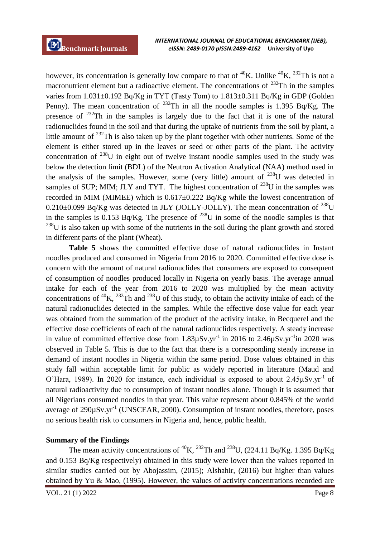however, its concentration is generally low compare to that of <sup>40</sup>K. Unlike <sup>40</sup>K, <sup>232</sup>Th is not a macronutrient element but a radioactive element. The concentrations of  $^{232}$ Th in the samples varies from  $1.031\pm0.192$  Bq/Kg in TYT (Tasty Tom) to  $1.813\pm0.311$  Bq/Kg in GDP (Golden Penny). The mean concentration of  $^{232}$ Th in all the noodle samples is 1.395 Bq/Kg. The presence of  $^{232}$ Th in the samples is largely due to the fact that it is one of the natural radionuclides found in the soil and that during the uptake of nutrients from the soil by plant, a little amount of <sup>232</sup>Th is also taken up by the plant together with other nutrients. Some of the element is either stored up in the leaves or seed or other parts of the plant. The activity concentration of <sup>238</sup>U in eight out of twelve instant noodle samples used in the study was below the detection limit (BDL) of the Neutron Activation Analytical (NAA) method used in the analysis of the samples. However, some (very little) amount of  $^{238}$ U was detected in samples of SUP; MIM; JLY and TYT. The highest concentration of  $^{238}$ U in the samples was recorded in MIM (MIMEE) which is  $0.617 \pm 0.222$  Bq/Kg while the lowest concentration of  $0.210\pm0.099$  Bq/Kg was detected in JLY (JOLLY-JOLLY). The mean concentration of <sup>238</sup>U in the samples is 0.153 Bq/Kg. The presence of  $^{238}$ U in some of the noodle samples is that  $238$ U is also taken up with some of the nutrients in the soil during the plant growth and stored in different parts of the plant (Wheat).

**Table 5** shows the committed effective dose of natural radionuclides in Instant noodles produced and consumed in Nigeria from 2016 to 2020. Committed effective dose is concern with the amount of natural radionuclides that consumers are exposed to consequent of consumption of noodles produced locally in Nigeria on yearly basis. The average annual intake for each of the year from 2016 to 2020 was multiplied by the mean activity concentrations of  ${}^{40}$ K,  ${}^{232}$ Th and  ${}^{238}$ U of this study, to obtain the activity intake of each of the natural radionuclides detected in the samples. While the effective dose value for each year was obtained from the summation of the product of the activity intake, in Becquerel and the effective dose coefficients of each of the natural radionuclides respectively. A steady increase in value of committed effective dose from  $1.83 \mu Sv.yr^{-1}$  in 2016 to  $2.46 \mu Sv.yr^{-1}$  in 2020 was observed in Table 5. This is due to the fact that there is a corresponding steady increase in demand of instant noodles in Nigeria within the same period. Dose values obtained in this study fall within acceptable limit for public as widely reported in literature (Maud and O'Hara, 1989). In 2020 for instance, each individual is exposed to about  $2.45 \mu Sv.yr^{-1}$  of natural radioactivity due to consumption of instant noodles alone. Though it is assumed that all Nigerians consumed noodles in that year. This value represent about 0.845% of the world average of  $290 \mu Sv.yr^{-1}$  (UNSCEAR, 2000). Consumption of instant noodles, therefore, poses no serious health risk to consumers in Nigeria and, hence, public health.

### **Summary of the Findings**

The mean activity concentrations of <sup>40</sup>K, <sup>232</sup>Th and <sup>238</sup>U, (224.11 Bq/Kg. 1.395 Bq/Kg and 0.153 Bq/Kg respectively) obtained in this study were lower than the values reported in similar studies carried out by Abojassim, (2015); Alshahir, (2016) but higher than values obtained by Yu & Mao*,* (1995). However, the values of activity concentrations recorded are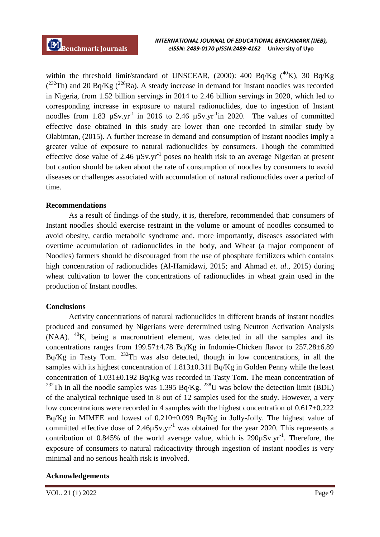within the threshold limit/standard of UNSCEAR, (2000): 400 Bq/Kg  $(^{40}K)$ , 30 Bq/Kg  $(^{232}Th)$  and 20 Bq/Kg  $(^{226}Ra)$ . A steady increase in demand for Instant noodles was recorded in Nigeria, from 1.52 billion servings in 2014 to 2.46 billion servings in 2020, which led to corresponding increase in exposure to natural radionuclides, due to ingestion of Instant noodles from 1.83  $\mu Sv.yr^{-1}$  in 2016 to 2.46  $\mu Sv.yr^{-1}$  in 2020. The values of committed effective dose obtained in this study are lower than one recorded in similar study by Olabimtan, (2015). A further increase in demand and consumption of Instant noodles imply a greater value of exposure to natural radionuclides by consumers. Though the committed effective dose value of 2.46  $\mu Sv.yr^{-1}$  poses no health risk to an average Nigerian at present but caution should be taken about the rate of consumption of noodles by consumers to avoid diseases or challenges associated with accumulation of natural radionuclides over a period of time.

#### **Recommendations**

As a result of findings of the study, it is, therefore, recommended that: consumers of Instant noodles should exercise restraint in the volume or amount of noodles consumed to avoid obesity, cardio metabolic syndrome and, more importantly, diseases associated with overtime accumulation of radionuclides in the body, and Wheat (a major component of Noodles) farmers should be discouraged from the use of phosphate fertilizers which contains high concentration of radionuclides (Al-Hamidawi, 2015; and Ahmad *et. al*., 2015) during wheat cultivation to lower the concentrations of radionuclides in wheat grain used in the production of Instant noodles.

### **Conclusions**

Activity concentrations of natural radionuclides in different brands of instant noodles produced and consumed by Nigerians were determined using Neutron Activation Analysis  $(NAA)$ . <sup>40</sup>K, being a macronutrient element, was detected in all the samples and its concentrations ranges from 199.57±4.78 Bq/Kg in Indomie-Chicken flavor to 257.28±6.89 Bq/Kg in Tasty Tom.  $232$ Th was also detected, though in low concentrations, in all the samples with its highest concentration of 1.813±0.311 Bq/Kg in Golden Penny while the least concentration of 1.031±0.192 Bq/Kg was recorded in Tasty Tom. The mean concentration of <sup>232</sup>Th in all the noodle samples was 1.395 Bq/Kg. <sup>238</sup>U was below the detection limit (BDL) of the analytical technique used in 8 out of 12 samples used for the study. However, a very low concentrations were recorded in 4 samples with the highest concentration of 0.617±0.222 Bq/Kg in MIMEE and lowest of 0.210±0.099 Bq/Kg in Jolly-Jolly. The highest value of committed effective dose of  $2.46\mu Sv.yr^{-1}$  was obtained for the year 2020. This represents a contribution of 0.845% of the world average value, which is  $290\mu Sv.yr^{-1}$ . Therefore, the exposure of consumers to natural radioactivity through ingestion of instant noodles is very minimal and no serious health risk is involved.

### **Acknowledgements**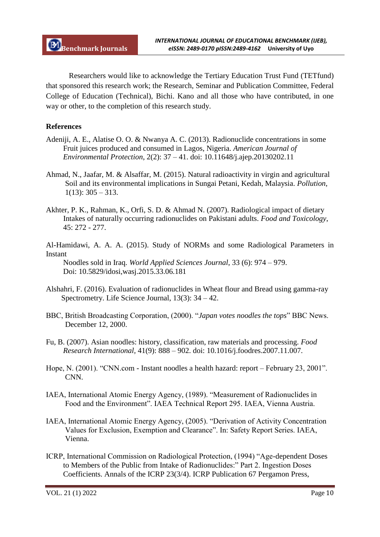Researchers would like to acknowledge the Tertiary Education Trust Fund (TETfund) that sponsored this research work; the Research, Seminar and Publication Committee, Federal College of Education (Technical), Bichi. Kano and all those who have contributed, in one way or other, to the completion of this research study.

# **References**

- Adeniji, A. E., Alatise O. O. & Nwanya A. C. (2013). Radionuclide concentrations in some Fruit juices produced and consumed in Lagos, Nigeria. *American Journal of Environmental Protection*, 2(2): 37 – 41. doi: 10.11648/j.ajep.20130202.11
- Ahmad, N., Jaafar, M. & Alsaffar, M. (2015). Natural radioactivity in virgin and agricultural Soil and its environmental implications in Sungai Petani, Kedah, Malaysia. *Pollution*,  $1(13): 305 - 313.$
- Akhter, P. K., Rahman, K., Orfi, S. D. & Ahmad N. (2007). Radiological impact of dietary Intakes of naturally occurring radionuclides on Pakistani adults. *Food and Toxicology*, 45: 272 - 277.
- Al-Hamidawi, A. A. A. (2015). Study of NORMs and some Radiological Parameters in Instant

 Noodles sold in Iraq*. World Applied Sciences Journal*, 33 (6): 974 – 979. Doi: 10.5829/idosi,wasj.2015.33.06.181

- Alshahri, F. (2016). Evaluation of radionuclides in Wheat flour and Bread using gamma-ray Spectrometry. Life Science Journal, 13(3): 34 – 42.
- BBC, British Broadcasting Corporation, (2000). "*Japan votes noodles the tops*" BBC News. December 12, 2000.
- Fu, B. (2007). Asian noodles: history, classification, raw materials and processing. *Food Research International,* 41(9): 888 – 902. doi: 10.1016/j.foodres.2007.11.007.
- Hope, N. (2001). "CNN.com Instant noodles a health hazard: report February 23, 2001". CNN.
- IAEA, International Atomic Energy Agency, (1989). "Measurement of Radionuclides in Food and the Environment". IAEA Technical Report 295. IAEA, Vienna Austria.
- IAEA, International Atomic Energy Agency, (2005). "Derivation of Activity Concentration Values for Exclusion, Exemption and Clearance". In: Safety Report Series. IAEA, Vienna.
- ICRP, International Commission on Radiological Protection, (1994) "Age-dependent Doses to Members of the Public from Intake of Radionuclides:" Part 2. Ingestion Doses Coefficients. Annals of the ICRP 23(3/4). ICRP Publication 67 Pergamon Press,